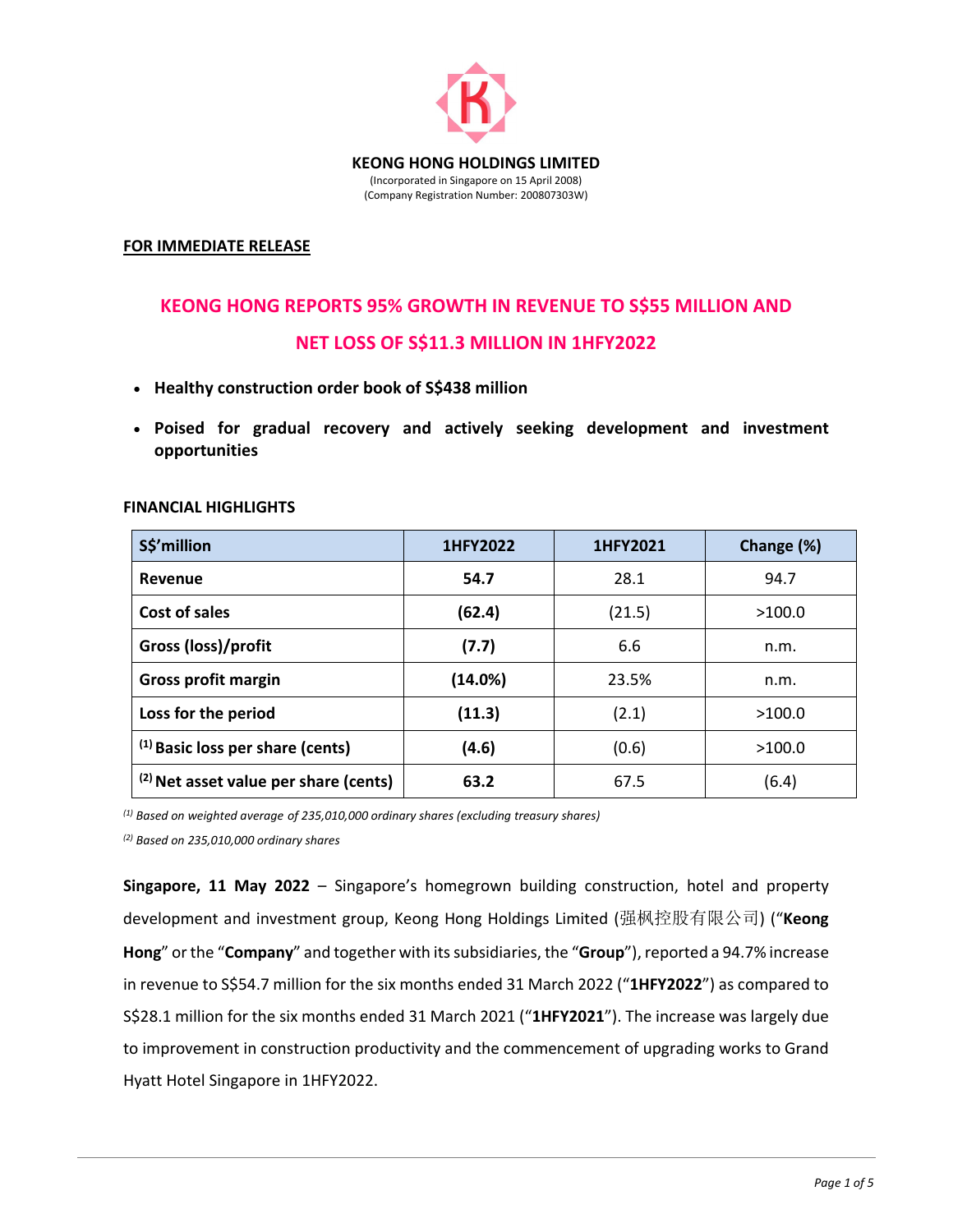

#### **FOR IMMEDIATE RELEASE**

# **KEONG HONG REPORTS 95% GROWTH IN REVENUE TO S\$55 MILLION AND**

## **NET LOSS OF S\$11.3 MILLION IN 1HFY2022**

- **Healthy construction order book of S\$438 million**
- **Poised for gradual recovery and actively seeking development and investment opportunities**

| S\$'million                                      | 1HFY2022 | 1HFY2021 | Change (%) |
|--------------------------------------------------|----------|----------|------------|
| Revenue                                          | 54.7     | 28.1     | 94.7       |
| Cost of sales                                    | (62.4)   | (21.5)   | >100.0     |
| Gross (loss)/profit                              | (7.7)    | 6.6      | n.m.       |
| <b>Gross profit margin</b>                       | (14.0%)  | 23.5%    | n.m.       |
| Loss for the period                              | (11.3)   | (2.1)    | >100.0     |
| $(1)$ Basic loss per share (cents)               | (4.6)    | (0.6)    | >100.0     |
| <sup>(2)</sup> Net asset value per share (cents) | 63.2     | 67.5     | (6.4)      |

#### **FINANCIAL HIGHLIGHTS**

*(1) Based on weighted average of 235,010,000 ordinary shares (excluding treasury shares)*

*(2) Based on 235,010,000 ordinary shares* 

**Singapore, 11 May 2022** – Singapore's homegrown building construction, hotel and property development and investment group, Keong Hong Holdings Limited (强枫控股有限公司) ("**Keong Hong**" or the "**Company**" and together with itssubsidiaries, the "**Group**"), reported a 94.7% increase in revenue to S\$54.7 million for the six months ended 31 March 2022 ("**1HFY2022**") as compared to S\$28.1 million for the six months ended 31 March 2021 ("**1HFY2021**"). The increase was largely due to improvement in construction productivity and the commencement of upgrading works to Grand Hyatt Hotel Singapore in 1HFY2022.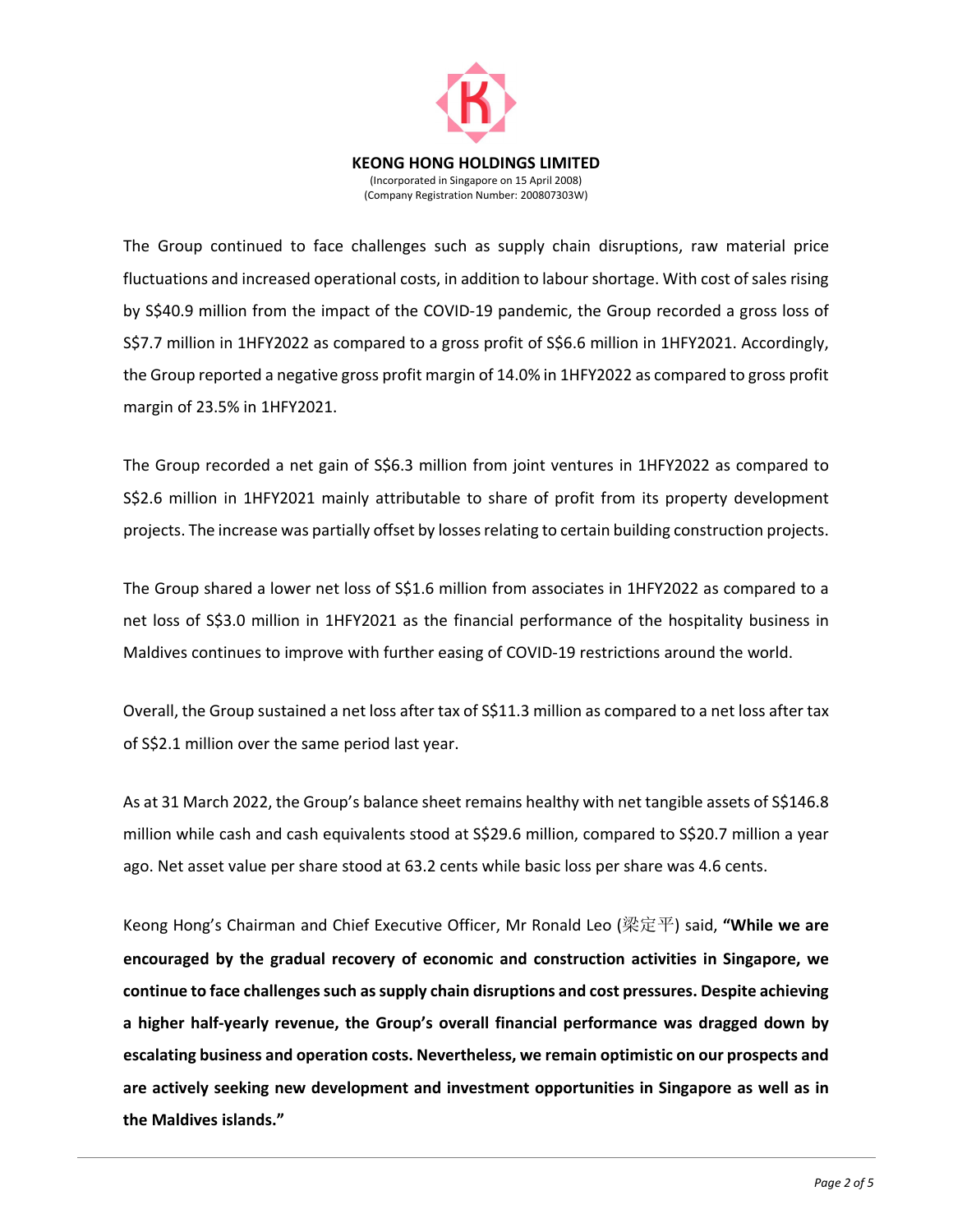

The Group continued to face challenges such as supply chain disruptions, raw material price fluctuations and increased operational costs, in addition to labour shortage. With cost of sales rising by S\$40.9 million from the impact of the COVID‐19 pandemic, the Group recorded a gross loss of S\$7.7 million in 1HFY2022 as compared to a gross profit of S\$6.6 million in 1HFY2021. Accordingly, the Group reported a negative gross profit margin of 14.0% in 1HFY2022 as compared to gross profit margin of 23.5% in 1HFY2021.

The Group recorded a net gain of S\$6.3 million from joint ventures in 1HFY2022 as compared to S\$2.6 million in 1HFY2021 mainly attributable to share of profit from its property development projects. The increase was partially offset by lossesrelating to certain building construction projects.

The Group shared a lower net loss of S\$1.6 million from associates in 1HFY2022 as compared to a net loss of S\$3.0 million in 1HFY2021 as the financial performance of the hospitality business in Maldives continues to improve with further easing of COVID‐19 restrictions around the world.

Overall, the Group sustained a net loss after tax of S\$11.3 million as compared to a net loss after tax of S\$2.1 million over the same period last year.

As at 31 March 2022, the Group's balance sheet remains healthy with net tangible assets of S\$146.8 million while cash and cash equivalents stood at S\$29.6 million, compared to S\$20.7 million a year ago. Net asset value per share stood at 63.2 cents while basic loss per share was 4.6 cents.

Keong Hong's Chairman and Chief Executive Officer, Mr Ronald Leo (梁定平) said, **"While we are encouraged by the gradual recovery of economic and construction activities in Singapore, we continue to face challengessuch assupply chain disruptions and cost pressures. Despite achieving a higher half‐yearly revenue, the Group's overall financial performance was dragged down by escalating business and operation costs. Nevertheless, we remain optimistic on our prospects and are actively seeking new development and investment opportunities in Singapore as well as in the Maldives islands."**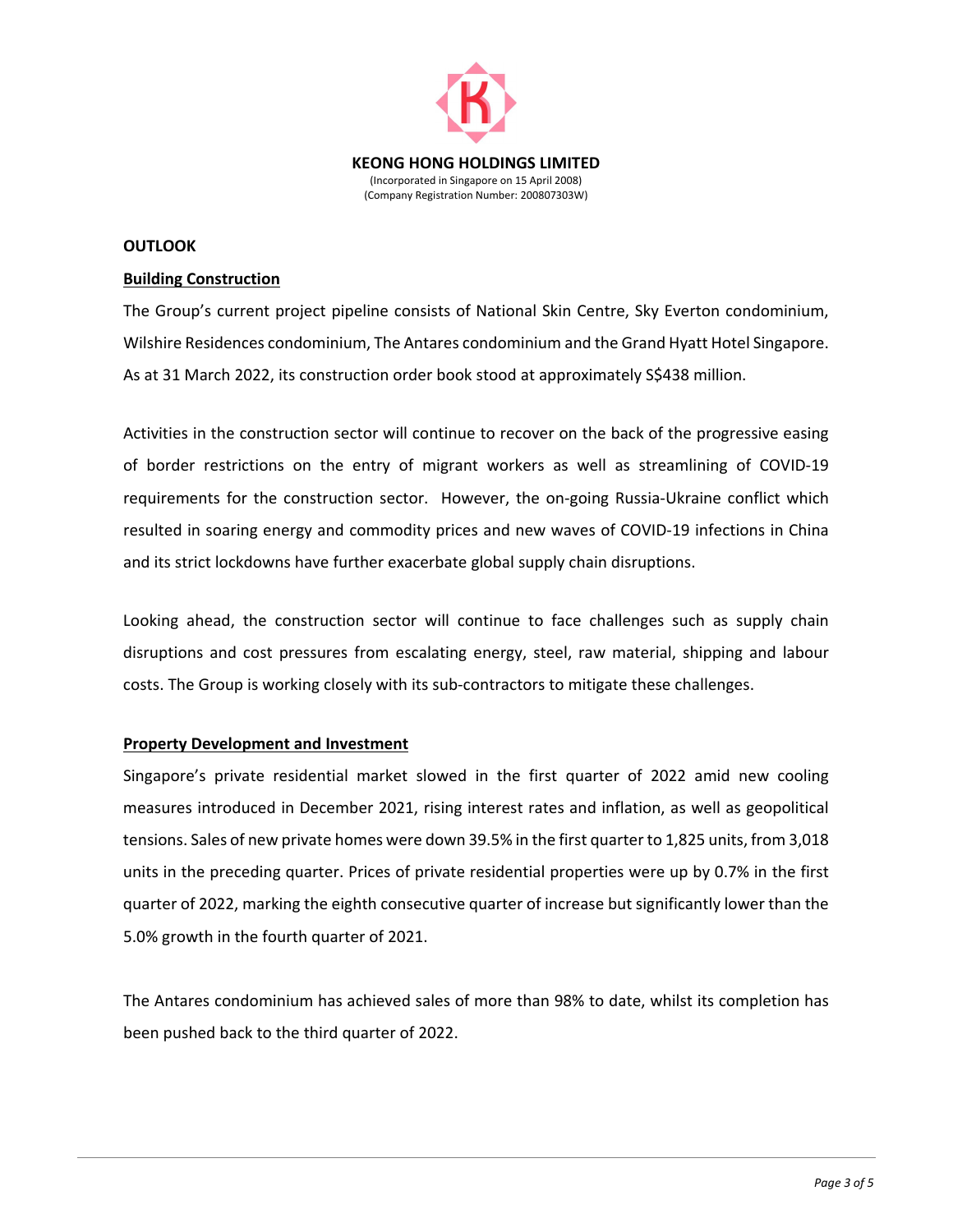

#### **OUTLOOK**

#### **Building Construction**

The Group's current project pipeline consists of National Skin Centre, Sky Everton condominium, Wilshire Residences condominium, The Antares condominium and the Grand Hyatt Hotel Singapore. As at 31 March 2022, its construction order book stood at approximately S\$438 million.

Activities in the construction sector will continue to recover on the back of the progressive easing of border restrictions on the entry of migrant workers as well as streamlining of COVID‐19 requirements for the construction sector. However, the on‐going Russia‐Ukraine conflict which resulted in soaring energy and commodity prices and new waves of COVID‐19 infections in China and its strict lockdowns have further exacerbate global supply chain disruptions.

Looking ahead, the construction sector will continue to face challenges such as supply chain disruptions and cost pressures from escalating energy, steel, raw material, shipping and labour costs. The Group is working closely with its sub‐contractors to mitigate these challenges.

### **Property Development and Investment**

Singapore's private residential market slowed in the first quarter of 2022 amid new cooling measures introduced in December 2021, rising interest rates and inflation, as well as geopolitical tensions. Sales of new private homes were down 39.5% in the first quarter to 1,825 units, from 3,018 units in the preceding quarter. Prices of private residential properties were up by 0.7% in the first quarter of 2022, marking the eighth consecutive quarter of increase but significantly lower than the 5.0% growth in the fourth quarter of 2021.

The Antares condominium has achieved sales of more than 98% to date, whilst its completion has been pushed back to the third quarter of 2022.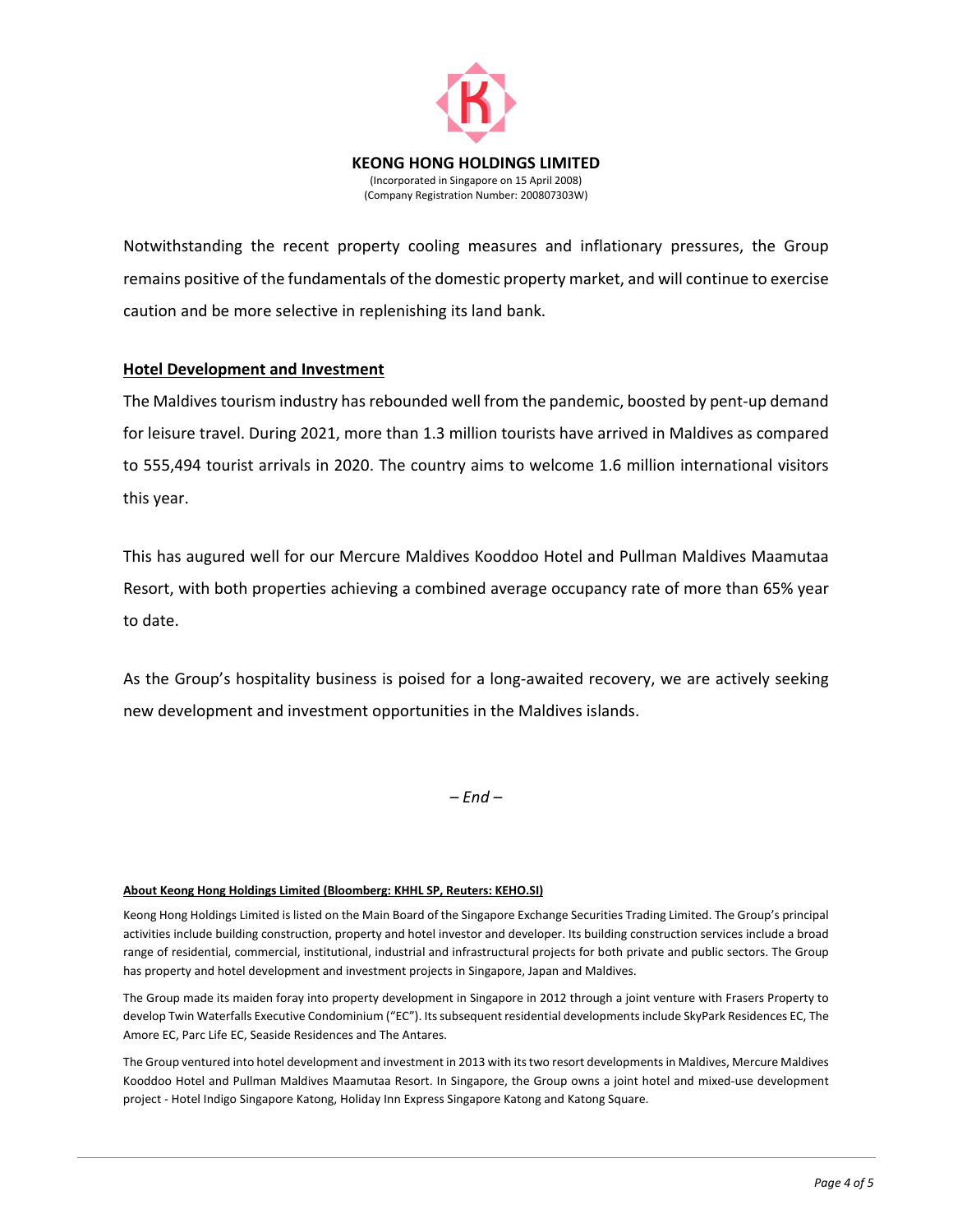

Notwithstanding the recent property cooling measures and inflationary pressures, the Group remains positive of the fundamentals of the domestic property market, and will continue to exercise caution and be more selective in replenishing its land bank.

### **Hotel Development and Investment**

The Maldives tourism industry has rebounded well from the pandemic, boosted by pent-up demand for leisure travel. During 2021, more than 1.3 million tourists have arrived in Maldives as compared to 555,494 tourist arrivals in 2020. The country aims to welcome 1.6 million international visitors this year.

This has augured well for our Mercure Maldives Kooddoo Hotel and Pullman Maldives Maamutaa Resort, with both properties achieving a combined average occupancy rate of more than 65% year to date.

As the Group's hospitality business is poised for a long‐awaited recovery, we are actively seeking new development and investment opportunities in the Maldives islands.

*– End –*

#### **About Keong Hong Holdings Limited (Bloomberg: KHHL SP, Reuters: KEHO.SI)**

Keong Hong Holdings Limited is listed on the Main Board of the Singapore Exchange Securities Trading Limited. The Group's principal activities include building construction, property and hotel investor and developer. Its building construction services include a broad range of residential, commercial, institutional, industrial and infrastructural projects for both private and public sectors. The Group has property and hotel development and investment projects in Singapore, Japan and Maldives.

The Group made its maiden foray into property development in Singapore in 2012 through a joint venture with Frasers Property to develop Twin Waterfalls Executive Condominium ("EC"). Itssubsequent residential developmentsinclude SkyPark Residences EC, The Amore EC, Parc Life EC, Seaside Residences and The Antares.

The Group ventured into hotel development and investment in 2013 with itstwo resort developmentsin Maldives, Mercure Maldives Kooddoo Hotel and Pullman Maldives Maamutaa Resort. In Singapore, the Group owns a joint hotel and mixed‐use development project ‐ Hotel Indigo Singapore Katong, Holiday Inn Express Singapore Katong and Katong Square.